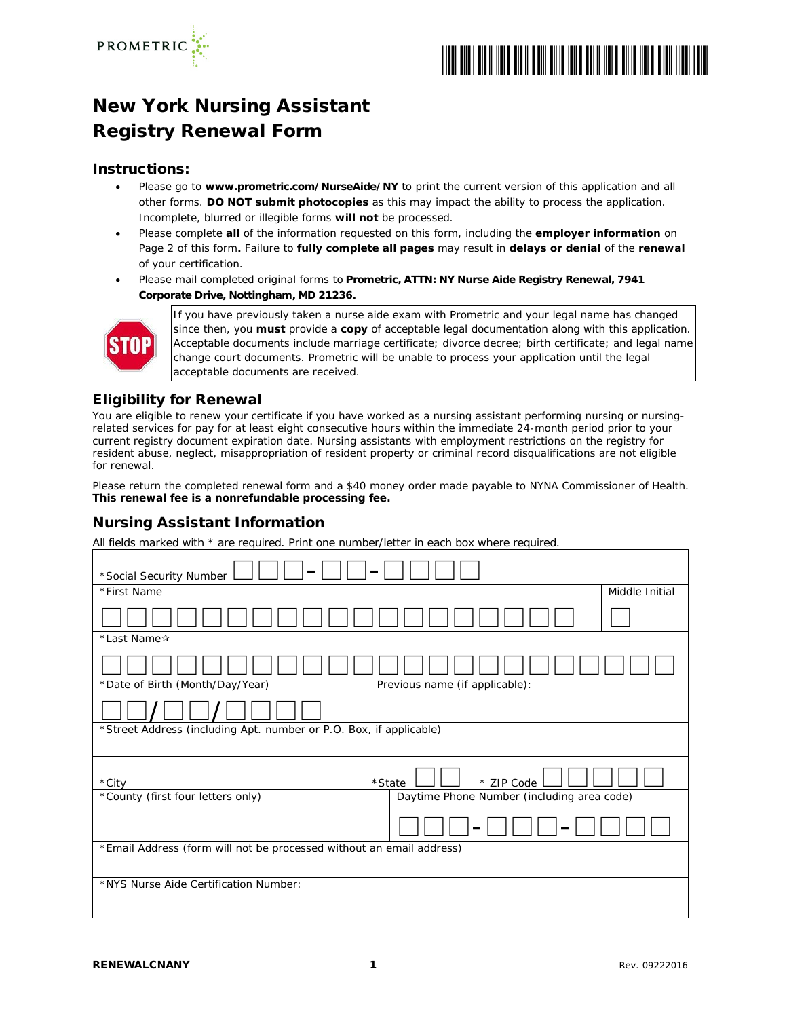

# \*RENEWALCNANY\*

## New York Nursing Assistant Registry Renewal Form

#### Instructions:

- Please go to **www.prometric.com/NurseAide/NY** to print the current version of this application and all other forms. **DO NOT submit photocopies** as this may impact the ability to process the application. Incomplete, blurred or illegible forms **will not** be processed.
- Please complete **all** of the information requested on this form, including the **employer information** on Page 2 of this form**.** Failure to **fully complete all pages** may result in **delays or denial** of the **renewal** of your certification.
- Please mail completed original forms to **Prometric, ATTN: NY Nurse Aide Registry Renewal, 7941 Corporate Drive, Nottingham, MD 21236.**



If you have previously taken a nurse aide exam with Prometric and your legal name has changed since then, you **must** provide a **copy** of acceptable legal documentation along with this application. Acceptable documents include marriage certificate; divorce decree; birth certificate; and legal name change court documents. Prometric will be unable to process your application until the legal acceptable documents are received.

#### Eligibility for Renewal

You are eligible to renew your certificate if you have worked as a nursing assistant performing nursing or nursingrelated services for pay for at least eight consecutive hours within the immediate 24-month period prior to your current registry document expiration date. Nursing assistants with employment restrictions on the registry for resident abuse, neglect, misappropriation of resident property or criminal record disqualifications are not eligible for renewal.

Please return the completed renewal form and a \$40 money order made payable to NYNA Commissioner of Health. **This renewal fee is a nonrefundable processing fee.**

#### Nursing Assistant Information

All fields marked with \* are required. Print one number/letter in each box where required.

| *Social Security Number                                                         |                |  |  |
|---------------------------------------------------------------------------------|----------------|--|--|
| *First Name                                                                     | Middle Initial |  |  |
|                                                                                 |                |  |  |
| *Last Name*                                                                     |                |  |  |
|                                                                                 |                |  |  |
| *Date of Birth (Month/Day/Year)<br>Previous name (if applicable):               |                |  |  |
|                                                                                 |                |  |  |
| *Street Address (including Apt. number or P.O. Box, if applicable)              |                |  |  |
| *State<br>* ZIP Code<br>*City                                                   |                |  |  |
| Daytime Phone Number (including area code)<br>*County (first four letters only) |                |  |  |
|                                                                                 |                |  |  |
| *Email Address (form will not be processed without an email address)            |                |  |  |
|                                                                                 |                |  |  |
| *NYS Nurse Aide Certification Number:                                           |                |  |  |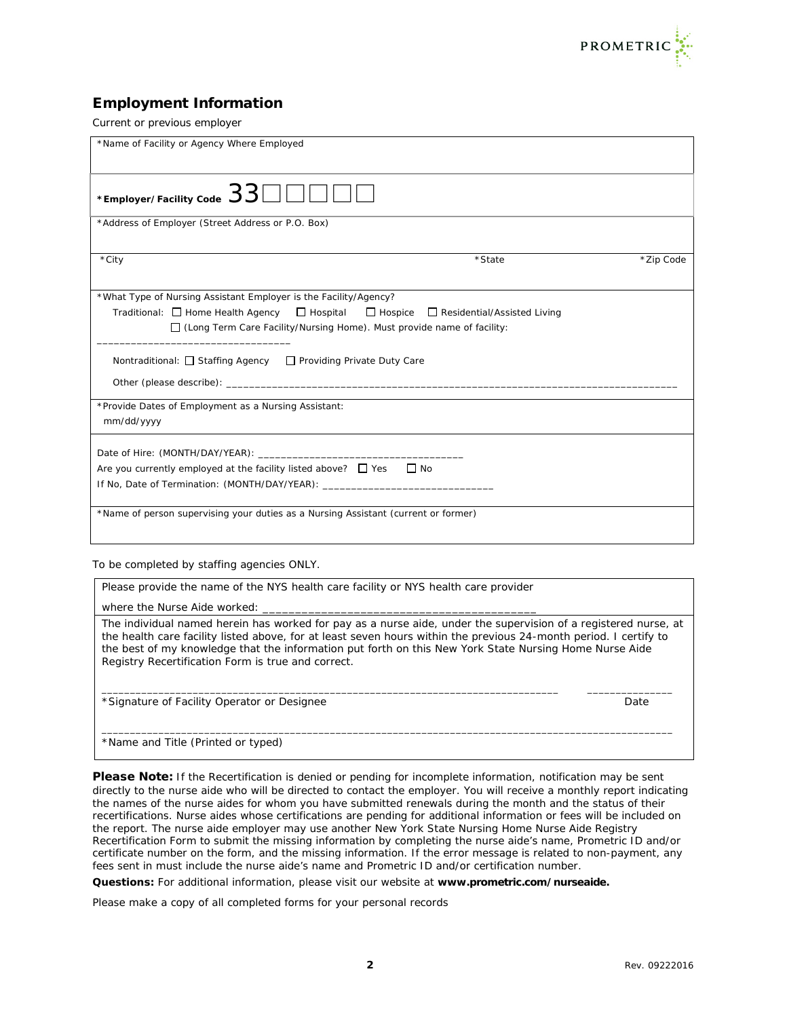

#### Employment Information

Current or previous employer

| *Name of Facility or Agency Where Employed                                                                                                                                                                                                                                                                                       |        |           |
|----------------------------------------------------------------------------------------------------------------------------------------------------------------------------------------------------------------------------------------------------------------------------------------------------------------------------------|--------|-----------|
| *Employer/Facility Code $33$ $\Box$ $\Box$ $\Box$ $\Box$                                                                                                                                                                                                                                                                         |        |           |
| *Address of Employer (Street Address or P.O. Box)                                                                                                                                                                                                                                                                                |        |           |
| *City                                                                                                                                                                                                                                                                                                                            | *State | *Zip Code |
| *What Type of Nursing Assistant Employer is the Facility/Agency?<br>Traditional: $\Box$ Home Health Agency $\Box$ Hospital $\Box$ Hospice $\Box$ Residential/Assisted Living<br>$\Box$ (Long Term Care Facility/Nursing Home). Must provide name of facility:<br>Nontraditional: □ Staffing Agency □ Providing Private Duty Care |        |           |
|                                                                                                                                                                                                                                                                                                                                  |        |           |
| *Provide Dates of Employment as a Nursing Assistant:<br>mm/dd/yyyy                                                                                                                                                                                                                                                               |        |           |
| Are you currently employed at the facility listed above? $\Box$ Yes $\Box$ No<br>If No, Date of Termination: (MONTH/DAY/YEAR): __________________________________                                                                                                                                                                |        |           |
| *Name of person supervising your duties as a Nursing Assistant (current or former)                                                                                                                                                                                                                                               |        |           |

To be completed by staffing agencies ONLY.

Please provide the name of the NYS health care facility or NYS health care provider

where the Nurse Aide worked:

The individual named herein has worked for pay as a nurse aide, under the supervision of a registered nurse, at the health care facility listed above, for at least seven hours within the previous 24-month period. I certify to the best of my knowledge that the information put forth on this New York State Nursing Home Nurse Aide Registry Recertification Form is true and correct.

\_\_\_\_\_\_\_\_\_\_\_\_\_\_\_\_\_\_\_\_\_\_\_\_\_\_\_\_\_\_\_\_\_\_\_\_\_\_\_\_\_\_\_\_\_\_\_\_\_\_\_\_\_\_\_\_\_\_\_\_\_\_\_\_\_\_\_\_\_\_\_\_\_\_\_\_\_\_\_\_ \_\_\_\_\_\_\_\_\_\_\_\_\_\_\_

\_\_\_\_\_\_\_\_\_\_\_\_\_\_\_\_\_\_\_\_\_\_\_\_\_\_\_\_\_\_\_\_\_\_\_\_\_\_\_\_\_\_\_\_\_\_\_\_\_\_\_\_\_\_\_\_\_\_\_\_\_\_\_\_\_\_\_\_\_\_\_\_\_\_\_\_\_\_\_\_\_\_\_\_\_\_\_\_\_\_\_\_\_\_\_\_\_\_\_\_

\*Signature of Facility Operator or Designee **Date Acidemic Structure** Date Date

\*Name and Title (Printed or typed)

Please Note: If the Recertification is denied or pending for incomplete information, notification may be sent directly to the nurse aide who will be directed to contact the employer. You will receive a monthly report indicating the names of the nurse aides for whom you have submitted renewals during the month and the status of their recertifications. Nurse aides whose certifications are pending for additional information or fees will be included on the report. The nurse aide employer may use another New York State Nursing Home Nurse Aide Registry Recertification Form to submit the missing information by completing the nurse aide's name, Prometric ID and/or certificate number on the form, and the missing information. If the error message is related to non-payment, any fees sent in must include the nurse aide's name and Prometric ID and/or certification number.

**Questions:** For additional information, please visit our website at **[www.prometric.com/nurseaide.](http://www.prometric.com/nurseaide)**

Please make a copy of all completed forms for your personal records